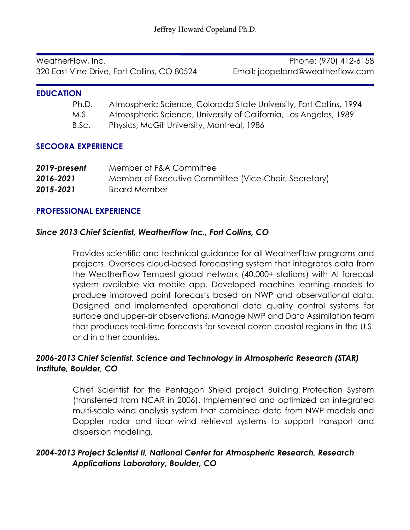WeatherFlow, Inc. Phone: (970) 412-6158 320 East Vine Drive, Fort Collins, CO 80524 Email: jcopeland@weatherflow.com

#### **EDUCATION**

- Ph.D. Atmospheric Science, Colorado State University, Fort Collins, 1994
- M.S. Atmospheric Science, University of California, Los Angeles, 1989
- B.Sc. Physics, McGill University, Montreal, 1986

### **SECOORA EXPERIENCE**

| 2019-present | Member of F&A Committee                               |
|--------------|-------------------------------------------------------|
| 2016-2021    | Member of Executive Committee (Vice-Chair, Secretary) |
| 2015-2021    | <b>Board Member</b>                                   |

## **PROFESSIONAL EXPERIENCE**

## *Since 2013 Chief Scientist, WeatherFlow Inc., Fort Collins, CO*

Provides scientific and technical guidance for all WeatherFlow programs and projects. Oversees cloud-based forecasting system that integrates data from the WeatherFlow Tempest global network (40,000+ stations) with AI forecast system available via mobile app. Developed machine learning models to produce improved point forecasts based on NWP and observational data. Designed and implemented operational data quality control systems for surface and upper-air observations. Manage NWP and Data Assimilation team that produces real-time forecasts for several dozen coastal regions in the U.S. and in other countries.

# *2006-2013 Chief Scientist, Science and Technology in Atmospheric Research (STAR) Institute, Boulder, CO*

Chief Scientist for the Pentagon Shield project Building Protection System (transferred from NCAR in 2006). Implemented and optimized an integrated multi-scale wind analysis system that combined data from NWP models and Doppler radar and lidar wind retrieval systems to support transport and dispersion modeling.

# *2004-2013 Project Scientist II, National Center for Atmospheric Research, Research Applications Laboratory, Boulder, CO*